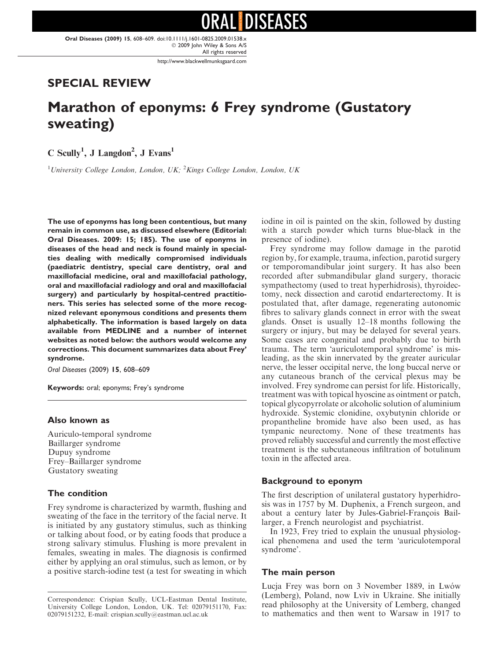Oral Diseases (2009) 15, 608–609. doi:10.1111/j.1601-0825.2009.01538.x - 2009 John Wiley & Sons A/S All rights reserved

http://www.blackwellmunksgaard.com

## SPECIAL REVIEW

# Marathon of eponyms: 6 Frey syndrome (Gustatory sweating)

 $C$  Scully<sup>1</sup>, J Langdon<sup>2</sup>, J Evans<sup>1</sup>

<sup>1</sup>University College London, London, UK;  ${}^{2}$ Kings College London, London, UK

The use of eponyms has long been contentious, but many remain in common use, as discussed elsewhere (Editorial: Oral Diseases. 2009: 15; 185). The use of eponyms in diseases of the head and neck is found mainly in specialties dealing with medically compromised individuals (paediatric dentistry, special care dentistry, oral and maxillofacial medicine, oral and maxillofacial pathology, oral and maxillofacial radiology and oral and maxillofacial surgery) and particularly by hospital-centred practitioners. This series has selected some of the more recognized relevant eponymous conditions and presents them alphabetically. The information is based largely on data available from MEDLINE and a number of internet websites as noted below: the authors would welcome any corrections. This document summarizes data about Frey' syndrome.

Oral Diseases (2009) 15, 608–609

Keywords: oral; eponyms; Frey's syndrome

#### Also known as

Auriculo-temporal syndrome Baillarger syndrome Dupuy syndrome Frey–Baillarger syndrome Gustatory sweating

#### The condition

Frey syndrome is characterized by warmth, flushing and sweating of the face in the territory of the facial nerve. It is initiated by any gustatory stimulus, such as thinking or talking about food, or by eating foods that produce a strong salivary stimulus. Flushing is more prevalent in females, sweating in males. The diagnosis is confirmed either by applying an oral stimulus, such as lemon, or by a positive starch-iodine test (a test for sweating in which iodine in oil is painted on the skin, followed by dusting with a starch powder which turns blue-black in the presence of iodine).

Frey syndrome may follow damage in the parotid region by, for example, trauma, infection, parotid surgery or temporomandibular joint surgery. It has also been recorded after submandibular gland surgery, thoracic sympathectomy (used to treat hyperhidrosis), thyroidectomy, neck dissection and carotid endarterectomy. It is postulated that, after damage, regenerating autonomic fibres to salivary glands connect in error with the sweat glands. Onset is usually 12–18 months following the surgery or injury, but may be delayed for several years. Some cases are congenital and probably due to birth trauma. The term 'auriculotemporal syndrome' is misleading, as the skin innervated by the greater auricular nerve, the lesser occipital nerve, the long buccal nerve or any cutaneous branch of the cervical plexus may be involved. Frey syndrome can persist for life. Historically, treatment was with topical hyoscine as ointment or patch, topical glycopyrrolate or alcoholic solution of aluminium hydroxide. Systemic clonidine, oxybutynin chloride or propantheline bromide have also been used, as has tympanic neurectomy. None of these treatments has proved reliably successful and currently the most effective treatment is the subcutaneous infiltration of botulinum toxin in the affected area.

#### Background to eponym

The first description of unilateral gustatory hyperhidrosis was in 1757 by M. Duphenix, a French surgeon, and about a century later by Jules-Gabriel-François Baillarger, a French neurologist and psychiatrist.

In 1923, Frey tried to explain the unusual physiological phenomena and used the term 'auriculotemporal syndrome'.

#### The main person

Lucja Frey was born on 3 November 1889, in Lwów (Lemberg), Poland, now Lviv in Ukraine. She initially read philosophy at the University of Lemberg, changed to mathematics and then went to Warsaw in 1917 to

Correspondence: Crispian Scully, UCL-Eastman Dental Institute, University College London, London, UK. Tel: 02079151170, Fax: 02079151232, E-mail: crispian.scully@eastman.ucl.ac.uk